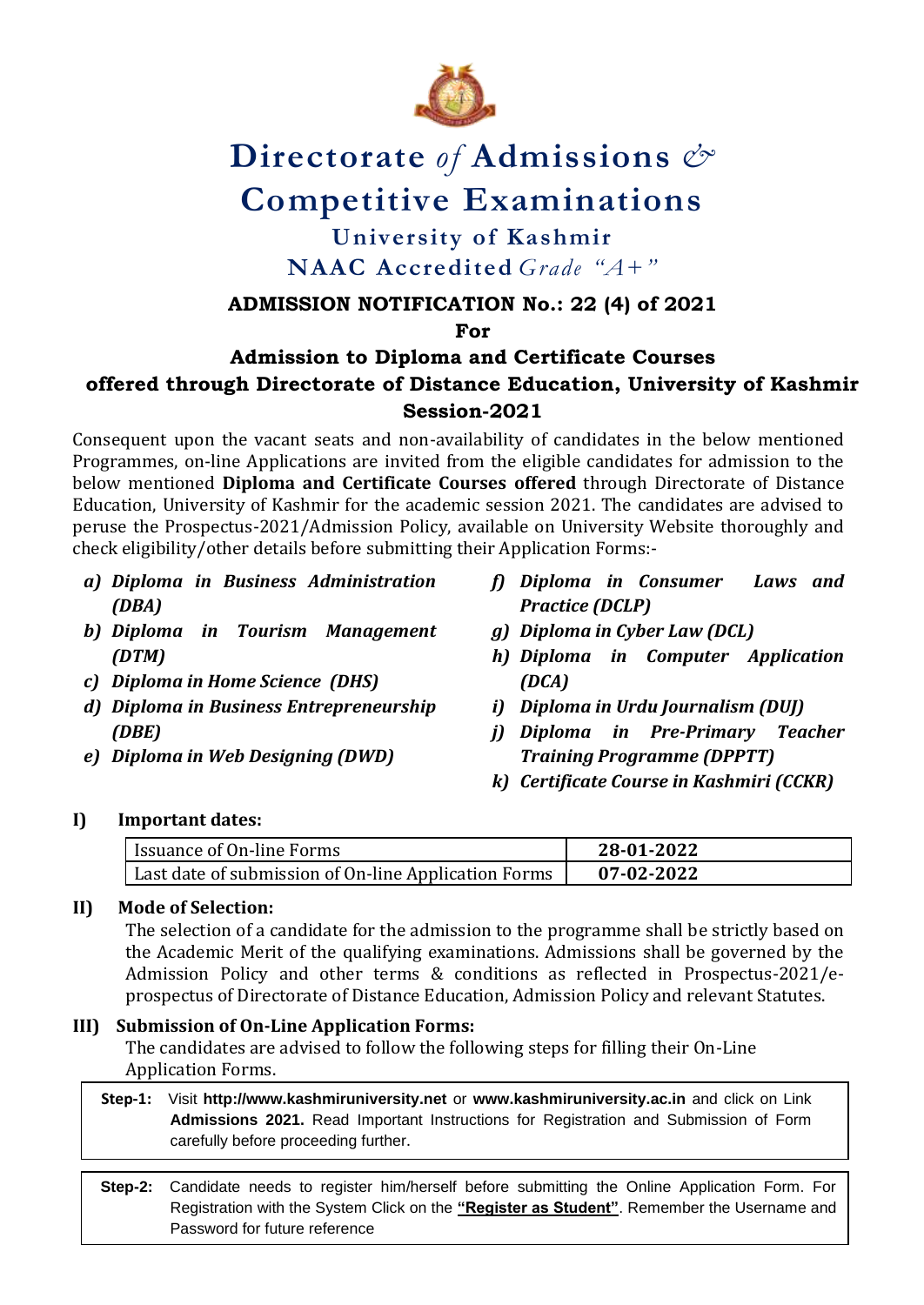

# **Directorate** *of* **Admissions** *&*  **Competitive Examinations**

# **University of Kashmir NAAC Accredited** *Grade "A+"*

## **ADMISSION NOTIFICATION No.: 22 (4) of 2021**

**For**

# **Admission to Diploma and Certificate Courses offered through Directorate of Distance Education, University of Kashmir Session-2021**

Consequent upon the vacant seats and non-availability of candidates in the below mentioned Programmes, on-line Applications are invited from the eligible candidates for admission to the below mentioned **Diploma and Certificate Courses offered** through Directorate of Distance Education, University of Kashmir for the academic session 2021. The candidates are advised to peruse the Prospectus-2021/Admission Policy, available on University Website thoroughly and check eligibility/other details before submitting their Application Forms:-

- *a) Diploma in Business Administration (DBA)*
- *b) Diploma in Tourism Management (DTM)*
- *c) Diploma in Home Science (DHS)*
- *d) Diploma in Business Entrepreneurship (DBE)*
- *e) Diploma in Web Designing (DWD)*
- *f) Diploma in Consumer Laws and Practice (DCLP)*
- *g) Diploma in Cyber Law (DCL)*
- *h) Diploma in Computer Application (DCA)*
- *i) Diploma in Urdu Journalism (DUJ)*
- *j) Diploma in Pre-Primary Teacher Training Programme (DPPTT)*
- *k) Certificate Course in Kashmiri (CCKR)*

## **I) Important dates:**

| Issuance of On-line Forms                            | 28-01-2022 |
|------------------------------------------------------|------------|
| Last date of submission of On-line Application Forms | 07-02-2022 |

#### **II) Mode of Selection:**

The selection of a candidate for the admission to the programme shall be strictly based on the Academic Merit of the qualifying examinations. Admissions shall be governed by the Admission Policy and other terms & conditions as reflected in Prospectus-2021/eprospectus of Directorate of Distance Education, Admission Policy and relevant Statutes.

## **III) Submission of On-Line Application Forms:**

The candidates are advised to follow the following steps for filling their On-Line Application Forms.

 **Step-1:** Visit **[http://www.kashmiruniversity.net](http://www.kashmiruniversity.net/)** or **[www.kashmiruniversity.ac.in](http://www.kashmiruniversity.ac.in/)** and click on Link **Admissions 2021.** Read Important Instructions for Registration and Submission of Form carefully before proceeding further.

**Step-2:** Candidate needs to register him/herself before submitting the Online Application Form. For Registration with the System Click on the **"Register as Student"**. Remember the Username and Password for future reference